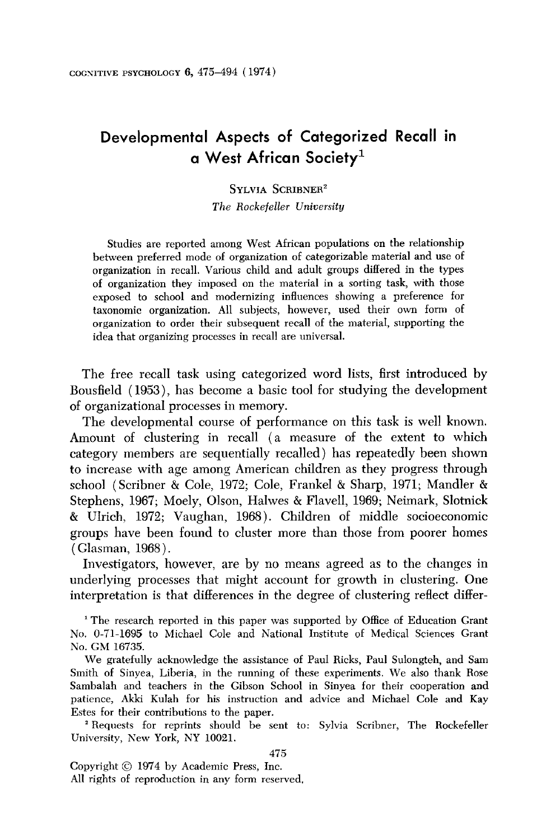# **Developmental Aspects of Categorized Recall in a West African Society<sup>1</sup>**

SYLVIA SCRIBNER<sup>2</sup>

*The Rockefeller University* 

Studies are reported among West African populations on the relationship between preferred mode of organization of categorizable material and use of organization in recall. Various child and adult groups differed in the types of organization they imposed on the material in a sorting task, with those exposed to school and modernizing influences showing a preference for taxonomic organization. All subjects, however, used their own form of organization to order their subsequent recall of the material, supporting the idea that organizing processes in recall are universal.

The free recall task using categorized word lists, first introduced by Bousfield ( 1953), has become a basic tool for studying the development of organizational processes in memory.

The developmental course of performance on this task is well known. Amount of clustering in recall (a measure of the extent to which category members are sequentially recalled) has repeatedly been shown to increase with age among American children as they progress through school ( Scribner & Cole, 1972; Cole, Frankel & Sharp, 1971; Mandler & Stephens, 1967; Moely, Olson, Halwes & Flavell, 1969; Neimark, Slotnick & Ulrich, 1972; Vaughan, 1968). Children of middle socioeconomic groups have been found to cluster more than those from poorer homes ( Glasman, 1968).

Investigators, however, are by no means agreed as to the changes in underlying processes that might account for growth in clustering. One interpretation is that differences in the degree of clustering reflect differ-

' The research reported in this paper was supported by Office of Education Grant No. 0-71-1695 to Michael Cole and National Institute of Medical Sciences Grant No. GM 16735.

We gratefully acknowledge the assistance of Paul Ricks, Paul Sulongteh, and Sam Smith of Sinyea, Liberia, in the running of these experiments. We also thank Rose Sambalah and teachers in the Gibson School in Sinyea for their cooperation and patience, Akki Kulah for his instruction and advice and Michael Cole and Kay Estes for their contributions to the paper. 2 Requests for reprints should be sent to: Sylvia Scribner, The Rockefeller

University, New York, NY 10021. 475

Copyright© 1974 by Academic Press, Inc. All rights of reproduction in any form reserved.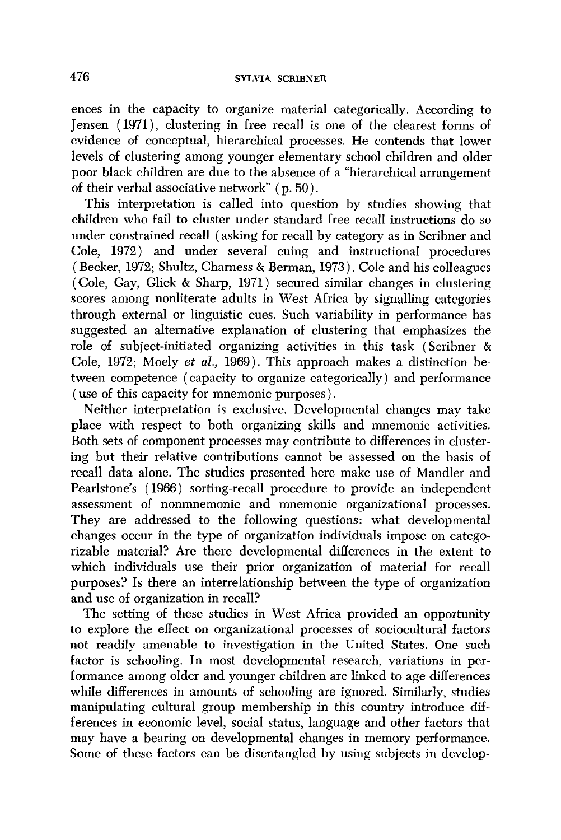ences in the capacity to organize material categorically. According to Jensen  $(1971)$ , clustering in free recall is one of the clearest forms of evidence of conceptual, hierarchical processes. He contends that lower levels of clustering among younger elementary school children and older poor black children are due to the absence of a "hierarchical arrangement of their verbal associative network" ( p. 50).

This interpretation is called into question by studies showing that children who fail to cluster under standard free recall instructions do so under constrained recall ( asking for recall by category as in Scribner and Cole, 1972) and under several cuing and instructional procedures ( Becker, 1972; Shultz, Charness & Berman, 1973). Cole and his colleagues ( Cole, Gay, Glick & Sharp, 1971) secured similar changes in clustering scores among nonliterate adults in West Africa by signalling categories through external or linguistic cues. Such variability in performance has suggested an alternative explanation of clustering that emphasizes the role of subject-initiated organizing activities in this task ( Scribner & Cole, 1972; Moely *et al.,* 1969). This approach makes a distinction between competence ( capacity to organize categorically) and performance ( use of this capacity for mnemonic purposes) .

Neither interpretation is exclusive. Developmental changes may take place with respect to both organizing skills and mnemonic activities. Both sets of component processes may contribute to differences in clustering but their relative contributions cannot be assessed on the basis of recall data alone. The studies presented here make use of Mandler and Pearlstone's (1966) sorting-recall procedure to provide an independent assessment of nonmnemonic and mnemonic organizational processes. They are addressed to the following questions: what developmental changes occur in the type of organization individuals impose on categorizable material? Are there developmental differences in the extent to which individuals use their prior organization of material for recall purposes? Is there an interrelationship between the type of organization and use of organization in recall?

The setting of these studies in West Africa provided an opportunity to explore the effect on organizational processes of sociocultural factors not readily amenable to investigation in the United States. One such factor is schooling. In most developmental research, variations in performance among older and younger children are linked to age differences while differences in amounts of schooling are ignored. Similarly, studies manipulating cultural group membership in this country introduce differences in economic level, social status, language and other factors that may have a bearing on developmental changes in memory performance. Some of these factors can be disentangled by using subjects in develop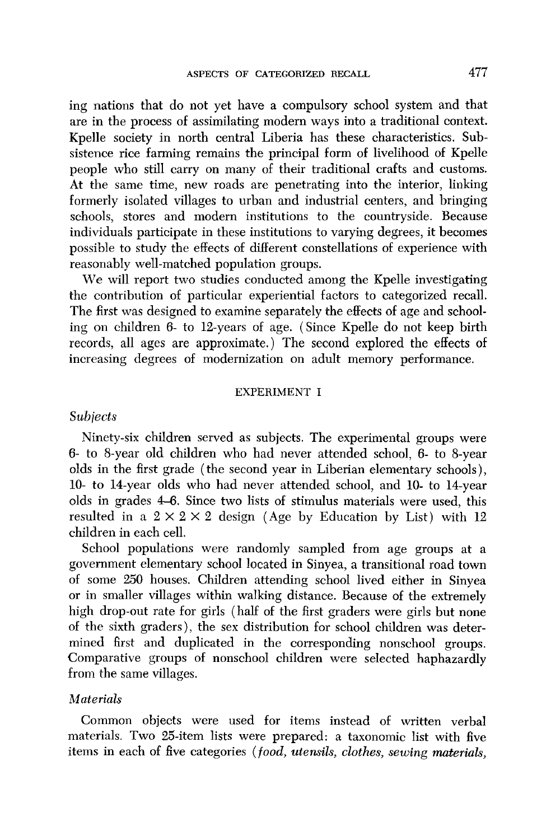ing nations that do not yet have a compulsory school system and that are in the process of assimilating modern ways into a traditional context. Kpelle society in north central Liberia has these characteristics. Subsistence rice farming remains the principal form of livelihood of Kpelle people who still carry on many of their traditional crafts and customs. At the same time, new roads are penetrating into the interior, linking formerly isolated villages to urban and industrial centers, and bringing schools, stores and modern institutions to the countryside. Because individuals participate in these institutions to varying degrees, it becomes possible to study the effects of different constellations of experience with reasonably well-matched population groups.

We will report two studies conducted among the Kpelle investigating the contribution of particular experiential factors to categorized recall. The first was designed to examine separately the effects of age and schooling on children 6- to 12-years of age. ( Since Kpelle do not keep birth records, all ages are approximate.) The second explored the effects of increasing degrees of modernization on adult memory performance.

#### EXPERIMENT I

#### *Sub;ects*

Ninety-six children served as subjects. The experimental groups were 6- to 8-year old children who had never attended school, 6- to 8-year olds in the first grade ( the second year in Liberian elementary schools), 10- to 14-year olds who had never attended school, and 10- to 14-year olds in grades 4-6. Since two lists of stimulus materials were used, this resulted in a  $2 \times 2 \times 2$  design (Age by Education by List) with 12 children in each cell.

School populations were randomly sampled from age groups at a government elementary school located in Sinyea, a transitional road town of some 250 houses. Children attending school lived either in Sinyea or in smaller villages within walking distance. Because of the extremely high drop-out rate for girls ( half of the first graders were girls but none of the sixth graders), the sex distribution for school children was determined first and duplicated in the corresponding nonschool groups. Comparative groups of nonschool children were selected haphazardly from the same villages.

### *Materials*

Common objects were used for items instead of written verbal materials. Two 25-item lists were prepared: a taxonomic list with five items in each of five categories ( *food, utensils, clothes, sewing materials,*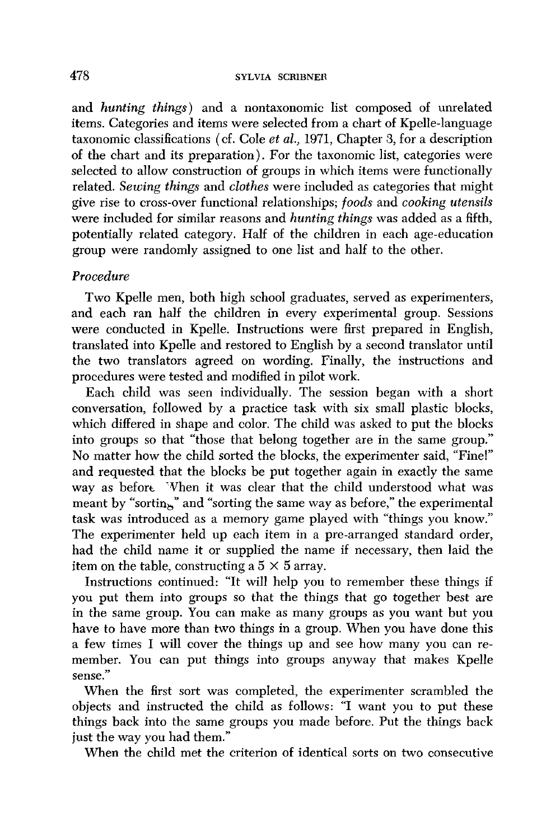and *hunting things)* and a nontaxonomic list composed of unrelated items. Categories and items were selected from a chart of Kpelle-language taxonomic classifications (cf. Cole *et al.,* 1971, Chapter 3, for a description of the chart and its preparation). For the taxonomic list, categories were selected to allow construction of groups in which items were functionally related. *Sewing things* and *clothes* were included as categories that might give rise to cross-over functional relationships; *foods* and *cooking utensils*  were included for similar reasons and *hunting things* was added as a fifth, potentially related category. Half of the children in each age-education group were randomly assigned to one list and half to the other.

## *Procedure*

Two Kpelle men, both high school graduates, served as experimenters, and each ran half the children in every experimental group. Sessions were conducted in Kpelle. Instructions were first prepared in English, translated into Kpelle and restored to English by a second translator until the two translators agreed on wording. finally, the instructions and procedures were tested and modified in pilot work.

Each child was seen individually. The session began with a short conversation, followed by a practice task with six small plastic blocks, which differed in shape and color. The child was asked to put the blocks into groups so that "those that belong together are in the same group." No matter how the child sorted the blocks, the experimenter said, "Fine!" and requested that the blocks be put together again in exactly the same way as before. 'Vhen it was clear that the child understood what was meant by "sortin $_{\infty}$ " and "sorting the same way as before," the experimental task was introduced as a memory game played with "things you know." The experimenter held up each item in a pre-arranged standard order, had the child name it or supplied the name if necessary, then laid the item on the table, constructing a  $5 \times 5$  array.

Instructions continued: "It will help you to remember these things if you put them into groups so that the things that go together best are in the same group. You can make as many groups as you want but you have to have more than two things in a group. When you have done this a few times I will cover the things up and see how many you can remember. You can put things into groups anyway that makes Kpelle sense."

When the first sort was completed, the experimenter scrambled the objects and instructed the child as follows: "I want you to put these things back into the same groups you made before. Put the things back just the way you had them."

When the child met the criterion of identical sorts on two consecutive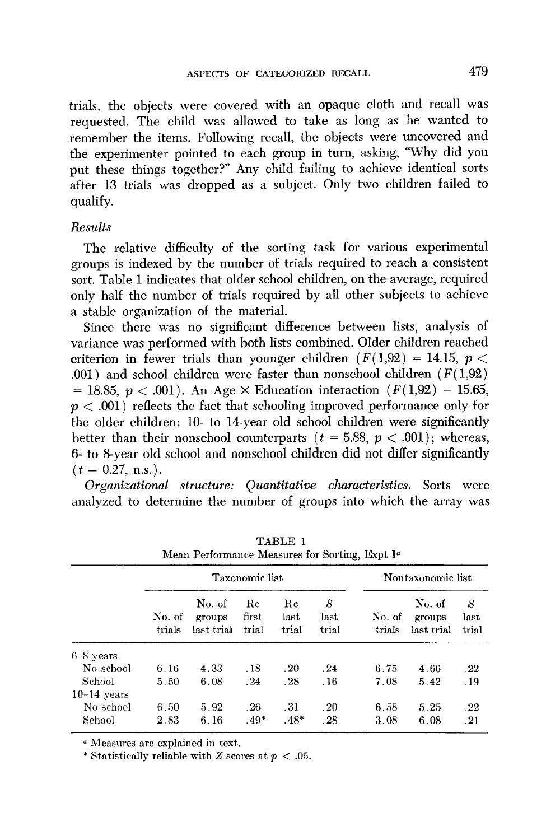trials, the objects were covered with an opaque cloth and recall was requested. The child was allowed to take as long as he wanted to remember the items. Following recall, the objects were uncovered and the experimenter pointed to each group in turn, asking, "Why did you put these things together?" Any child failing to achieve identical sorts after 13 trials was dropped as a subject. Only two children failed to qualify.

## *Results*

The relative difficulty of the sorting task for various experimental groups is indexed by the number of trials required to reach a consistent sort. Table 1 indicates that older school children, on the average, required only half the number of trials required by all other subjects to achieve a stable organization of the material.

Since there was no significant difference between lists, analysis of variance was performed with both lists combined. Older children reached criterion in fewer trials than younger children  $(F(1,92) = 14.15, p <$ .001) and school children were faster than nonschool children  $(F(1,92))$  $= 18.85, p < .001$ ). An Age  $\times$  Education interaction ( $F(1,92) = 15.65$ )  $p < .001$ ) reflects the fact that schooling improved performance only for the older children: 10- to 14-year old school children were significantly better than their nonschool counterparts  $(t = 5.88, p < .001)$ ; whereas, 6- to 8-year old school and nonschool children did not differ significantly  $(t = 0.27, n.s.).$ 

*Organizational structure: Quantitative characteristics.* Sorts were analyzed to determine the number of groups into which the array was

|               | Mean Performance Measures for Sorting, Expt I <sup>o</sup><br>Taxonomic list |                                |                      |                     |                    | Nontaxonomic list |                                |                    |
|---------------|------------------------------------------------------------------------------|--------------------------------|----------------------|---------------------|--------------------|-------------------|--------------------------------|--------------------|
|               | No. of<br>trials                                                             | No. of<br>groups<br>last trial | Rc<br>first<br>trial | Rc<br>last<br>trial | S<br>last<br>trial | No. of<br>trials  | No. of<br>groups<br>last trial | S<br>last<br>trial |
| $6-8$ years   |                                                                              |                                |                      |                     |                    |                   |                                |                    |
| No school     | 6.16                                                                         | 4.33                           | .18                  | .20                 | .24                | 6.75              | 4.66                           | . 22               |
| School        | 5.50                                                                         | 6.08                           | .24                  | $-28$               | .16                | 7.08              | 5.42                           | . 19               |
| $10-14$ vears |                                                                              |                                |                      |                     |                    |                   |                                |                    |
| No school     | 6.50                                                                         | 5.92                           | .26                  | -31                 | $\cdot$ 20         | 6.58              | 5.25                           | .22                |
| School        | 2.83                                                                         | 6.16                           | $.49*$               | $.48*$              | .28                | 3.08              | 6.08                           | .21                |

TABLE 1

*<sup>a</sup>*:Measures are explained in text.

\* Statistically reliable with *Z* scores at *p* < .05.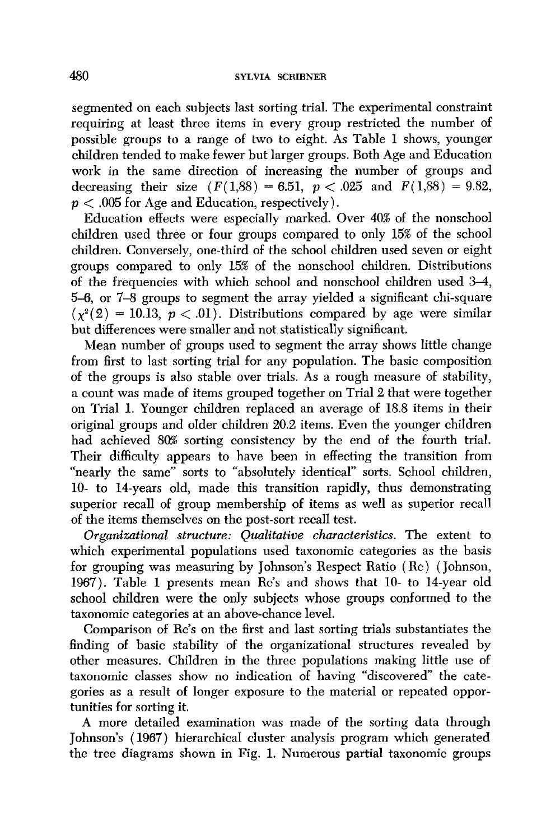## 480 SYLVIA SCRIBNER

segmented on each subjects last sorting trial. The experimental constraint requiring at least three items in every group restricted the number of possible groups to a range of two to eight. As Table 1 shows, younger children tended to make fewer but larger groups. Both Age and Education work in the same direction of increasing the number of groups and decreasing their size  $(F(1,88) = 6.51, p < .025$  and  $F(1,88) = 9.82,$  $p < .005$  for Age and Education, respectively).

Education effects were especially marked. Over 40% of the nonschool children used three or four groups compared to only 15% of the school children. Conversely, one-third of the school children used seven or eight groups compared to only 15% of the nonschool children. Distributions of the frequencies with which school and nonschool children used 3-4, 5-6, or 7-8 groups to segment the array yielded a significant chi-square  $(y^2(2) = 10.13, p < .01)$ . Distributions compared by age were similar but differences were smaller and not statistically significant.

Mean number of groups used to segment the array shows little change from first to last sorting trial for any population. The basic composition of the groups is also stable over trials. As a rough measure of stability, a count was made of items grouped together on Trial 2 that were together on Trial **1.** Younger children replaced an average of 18.8 items in their original groups and older children 20.2 items. Even the younger children had achieved 80% sorting consistency by the end of the fourth trial. Their difficulty appears to have been in effecting the transition from "nearly the same" sorts to "absolutely identical" sorts. School children, 10- to 14-years old, made this transition rapidly, thus demonstrating superior recall of group membership of items as well as superior recall of the items themselves on the post-sort recall test.

*Organizational structure: Qualitative characteristics.* The extent to which experimental populations used taxonomic categories as the basis for grouping was measuring by Johnson's Respect Ratio (Re) ( Johnson, 1967). Table 1 presents mean Re's and shows that 10- to 14-year old school children were the only subjects whose groups conformed to the taxonomic categories at an above-chance level.

Comparison of Re's on the first and last sorting trials substantiates the finding of basic stability of the organizational structures revealed by other measures. Children in the three populations making little use of taxonomic classes show no indication of having "discovered" the categories as a result of longer exposure to the material or repeated opportunities for sorting it.

A more detailed examination was made of the sorting data through Johnson's ( 1967) hierarchical cluster analysis program which generated the tree diagrams shown in Fig. 1. Numerous partial taxonomic groups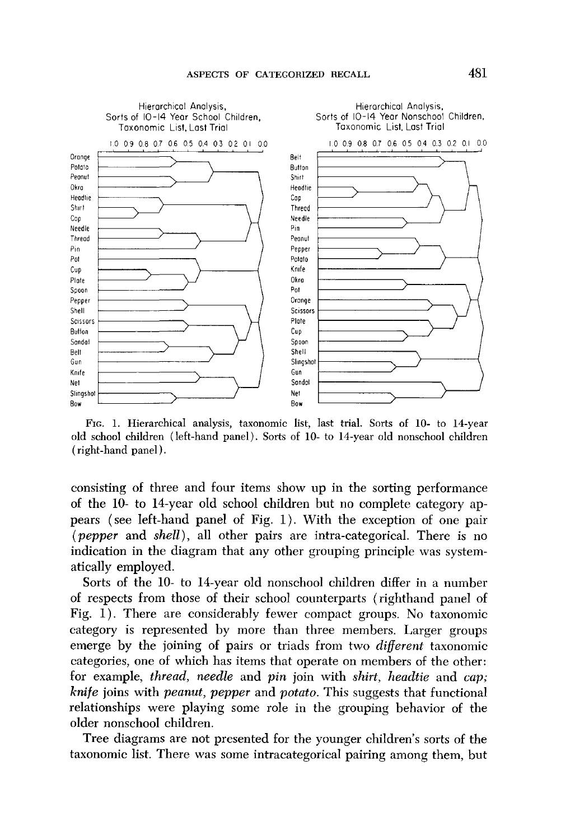

Fie. 1. Hierarchical analysis, taxonomic list, last trial. Sorts of 10- to 14-year old school children (left-hand panel). Sorts of 10- to 14-year old nonschool children ( right-hand panel).

consisting of three and four items show up in the sorting performance of the 10- to 14-year old school children but no complete category appears ( see left-hand panel of Fig. 1). With the exception of one pair ( *pepper* and *shell),* all other pairs are intra-categorical. There is no indication in the diagram that any other grouping principle was systematically employed.

Sorts of the 10- to 14-year old nonschool children differ in a number of respects from those of their school counterparts ( righthand panel of Fig. 1). There are considerably fewer compact groups. No taxonomic category is represented by more than three members. Larger groups emerge by the joining of pairs or triads from two *different* taxonomic categories, one of which has items that operate on members of the other: for example, *thread, needle* and *pin* join with *shirt, headtie* and *cap; knife* joins with *peanut, pepper* and *potato.* This suggests that functional relationships were playing some role in the grouping behavior of the older nonschool children.

Tree diagrams are not presented for the younger children's sorts of the taxonomic list. There was some intracategorical pairing among them, but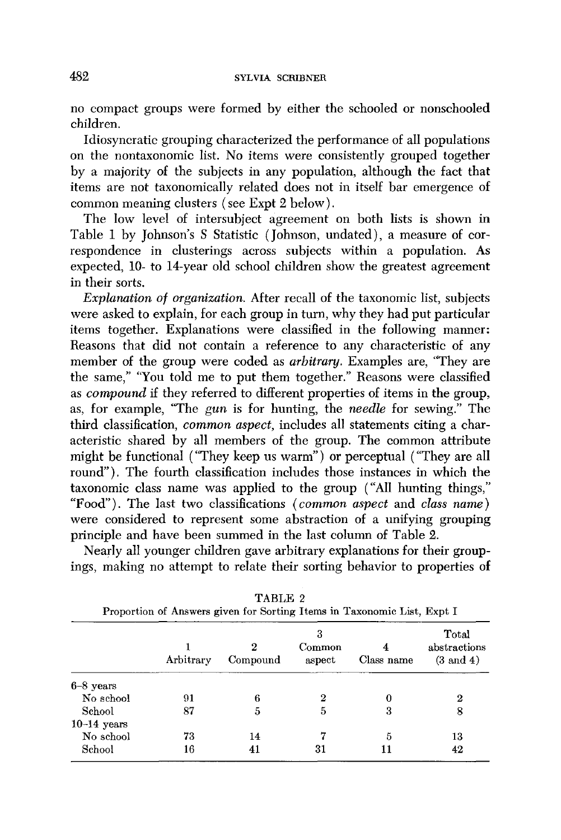no compact groups were formed by either the schooled or nonschooled children.

Idiosyncratic grouping characterized the performance of all populations on the nontaxonomic list. No items were consistently grouped together by a majority of the subjects in any population, although the fact that items are not taxonomically related does not in itself bar emergence of common meaning clusters ( see Expt 2 below).

The low level of intersubject agreement on both lists is shown in Table 1 by Johnson's S Statistic (Johnson, undated), a measure of correspondence in clusterings across subjects within a population. As expected, 10- to 14-year old school children show the greatest agreement in their sorts.

*Explanation of organization.* After recall of the taxonomic list, subjects were asked to explain, for each group in turn, why they had put particular items together. Explanations were classified in the following manner: Reasons that did not contain a reference to any characteristic of any member of the group were coded as *arbitrary.* Examples are, "They are the same," "You told me to put them together." Reasons were classified as *compound* if they referred to different properties of items in the group, as, for example, "The *gun* is for hunting, the *needle* for sewing." The third classification, *common aspect,* includes all statements citing a characteristic shared by all members of the group. The common attribute might be functional ("They keep us warm") or perceptual ("They are all round"). The fourth classification includes those instances in which the taxonomic class name was applied to the group ("All hunting things," "Food"). The last two classifications ( *common aspect* and *class name)*  were considered to represent some abstraction of a unifying grouping principle and have been summed in the last column of Table 2.

Nearly all younger children gave arbitrary explanations for their groupings, making no attempt to relate their sorting behavior to properties **of** 

| Proportion of Answers given for Sorting Items in Taxonomic List, Expt I |           |          |                       |            |                                               |  |  |  |
|-------------------------------------------------------------------------|-----------|----------|-----------------------|------------|-----------------------------------------------|--|--|--|
|                                                                         | Arbitrary | Compound | 3<br>Common<br>aspect | Class name | Total<br>abstractions<br>$(3 \text{ and } 4)$ |  |  |  |
| $6-8$ years                                                             |           |          |                       |            |                                               |  |  |  |
| No school                                                               | 91        | 6        | 2                     |            | 2                                             |  |  |  |
| School                                                                  | 87        | 5        | 5                     | 3          | 8                                             |  |  |  |
| $10-14$ years                                                           |           |          |                       |            |                                               |  |  |  |
| No school                                                               | 73        | 14       |                       | 5          | 13                                            |  |  |  |
| School                                                                  | 16        | 41       | 31                    | 11         | 42                                            |  |  |  |

TABLE 2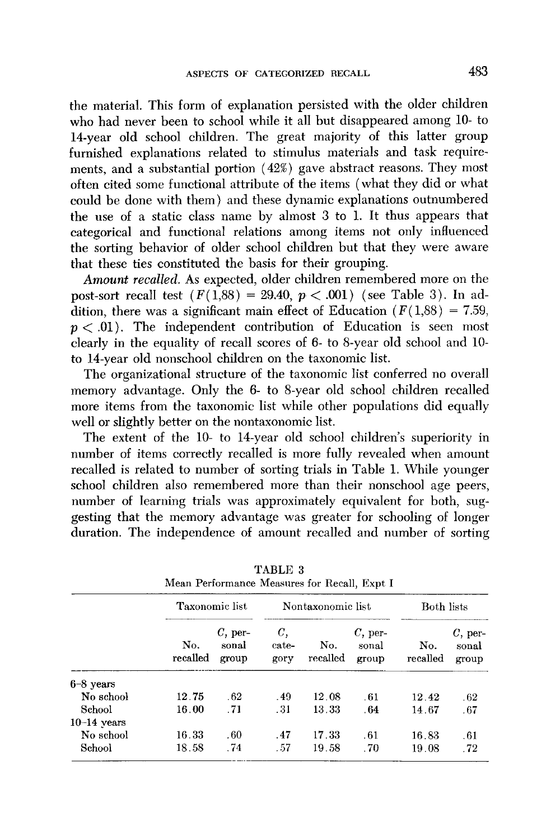the material. This form of explanation persisted with the older children who had never been to school while it all but disappeared among 10- to 14-year old school children. The great majority of this latter group furnished explanations related to stimulus materials and task requirements, and a substantial portion ( 42%) gave abstract reasons. They most often cited some functional attribute of the items ( what they did or what could be done with them) and these dynamic explanations outnumbered the use of a static class name by almost 3 to 1. It thus appears that categorical and functional relations among items not only influenced the sorting behavior of older school children but that they were aware that these ties constituted the basis for their grouping.

*Amount recalled.* As expected, older children remembered more on the post-sort recall test  $(F(1,88) = 29.40, p < .001)$  (see Table 3). In addition, there was a significant main effect of Education  $(F(1,88) = 7.59,$  $p < .01$ ). The independent contribution of Education is seen most clearly in the equality of recall scores of 6- to 8-year old school and 10 to 14-year old nonschool children on the taxonomic list.

The organizational structure of the taxonomic list conferred no overall memory advantage. Only the 6- to 8-year old school children recalled more items from the taxonomic list while other populations did equally well or slightly better on the nontaxonomic list.

The extent of the 10- to 14-year old school children's superiority in number of items correctly recalled is more fully revealed when amount recalled is related to number of sorting trials in Table 1. While younger school children also remembered more than their nonschool age peers, number of learning trials was approximately equivalent for both, suggesting that the memory advantage was greater for schooling of longer duration. The independence of amount recalled and number of sorting

|               | Taxonomic list  |                              | Nontaxonomic list   |                 |                              | <b>Both lists</b> |                              |
|---------------|-----------------|------------------------------|---------------------|-----------------|------------------------------|-------------------|------------------------------|
|               | No.<br>recalled | $C$ , per-<br>sonal<br>group | с.<br>cate-<br>gory | No.<br>recalled | $C$ , per-<br>sonal<br>group | No.<br>recalled   | $C$ , per-<br>sonal<br>group |
| $6-8$ years   |                 |                              |                     |                 |                              |                   |                              |
| No school     | 12.75           | .62                          | . 49                | 12.08           | .61                          | 12.42             | .62                          |
| School        | 16 00           | .71                          | . 31                | 13.33           | .64                          | 14.67             | .67                          |
| $10-14$ years |                 |                              |                     |                 |                              |                   |                              |
| No school     | 16.33           | .60                          | .47                 | 17.33           | -61                          | 16.83             | .61                          |
| School        | 18.58           | .74                          | . 57                | 19.58           | - 70                         | 19.08             | .72                          |

TABLE 3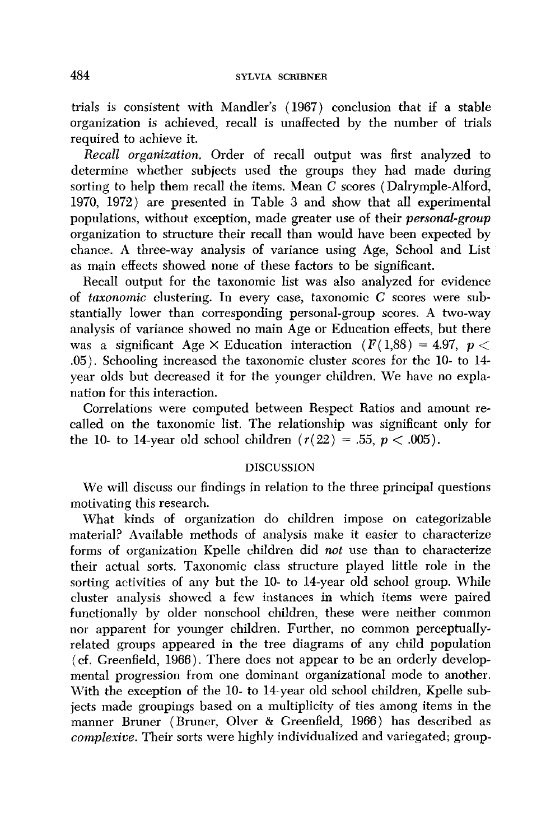trials is consistent with Mandler's ( 1967) conclusion that if a stable organization is achieved, recall is unaffected by the number of trials required to achieve it.

*Recall organization.* Order of recall output was first analyzed to determine whether subjects used the groups they had made during sorting to help them recall the items. Mean  $\tilde{C}$  scores (Dalrymple-Alford, 1970, 1972) are presented in Table 3 and show that all experimental populations, without exception, made greater use of their *personal-group*  organization to structure their recall than would have been expected by chance. A three-way analysis of variance using Age, School and List as main effects showed none of these factors to be significant.

Recall output for the taxonomic list was also analyzed for evidence of *taxonomic* clustering. In every case, taxonomic C scores were substantially lower than corresponding personal-group scores. A two-way analysis of variance showed no main Age or Education effects, but there was a significant Age  $\times$  Education interaction ( $F(1,88) = 4.97$ ,  $p <$ .05). Schooling increased the taxonomic cluster scores for the 10- to 14 year olds but decreased it for the younger children. We have no explanation for this interaction.

Correlations were computed between Respect Ratios and amount recalled on the taxonomic list. The relationship was significant only for the 10- to 14-year old school children  $(r(22) = .55, p < .005)$ .

## DISCUSSION

We will discuss our findings in relation to the three principal questions motivating this research.

What kinds of organization do children impose on categorizable material? Available methods of analysis make it easier to characterize forms of organization Kpelle children did *not* use than to characterize their actual sorts. Taxonomic class structure played little role in the sorting activities of any but the 10- to 14-year old school group. While cluster analysis showed a few instances in which items were paired functionally by older nonschool children, these were neither common nor apparent for younger children. Further, no common perceptuallyrelated groups appeared in the tree diagrams of any child population ( cf. Greenfield, 1966). There does not appear to be an orderly developmental progression from one dominant organizational mode to another. With the exception of the 10- to 14-year old school children, Kpelle subjects made groupings based on a multiplicity of ties among items in the manner Bruner ( Bruner, Olver & Greenfield, 1966) has described as *complexive.* Their sorts were highly individualized and variegated; group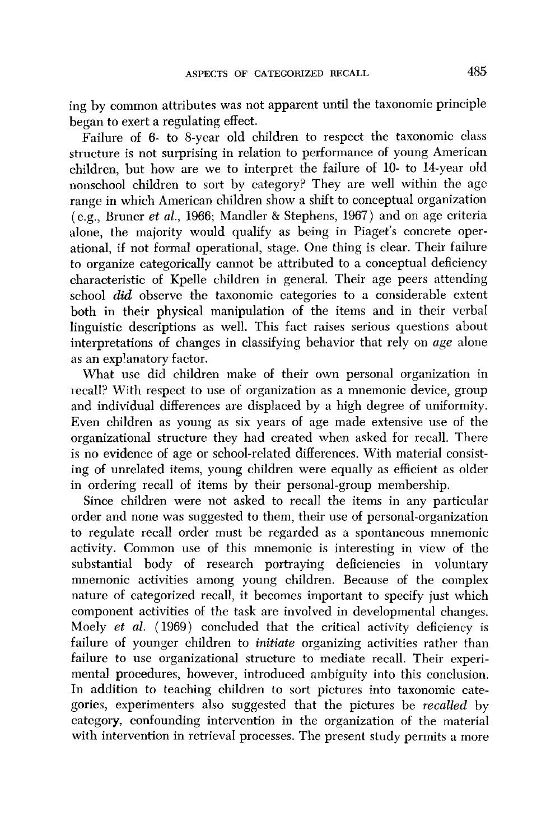ing by common attributes was not apparent until the taxonomic principle began to exert a regulating effect.

Failure of 6- to 8-year old children to respect the taxonomic class structure is not surprising in relation to performance of young American children, but how are we to interpret the failure of 10- to 14-year old nonschool children to sort by category? They are well within the age range in which American children show a shift to conceptual organization ( e.g., Bruner *et al.,* 1966; Mandler & Stephens, 1967) and on age criteria alone, the majority would qualify as being in Piaget's concrete operational, if not formal operational, stage. One thing is clear. Their failure to organize categorically cannot be attributed to a conceptual deficiency characteristic of Kpelle children in general. Their age peers attending school *did* observe the taxonomic categories to a considerable extent both in their physical manipulation of the items and in their verbal linguistic descriptions as well. This fact raises serious questions about interpretations of changes in classifying behavior that rely on *age* alone as an exp1anatory factor.

What use did children make of their own personal organization in 1ecall? With respect to use of organization as a mnemonic device, group and individual differences are displaced by a high degree of uniformity. Even children as young as six years of age made extensive use of the organizational structure they had created when asked for recall. There is no evidence of age or school-related differences. With material consisting of unrelated items, young children were equally as efficient as older in ordering recall of items by their personal-group membership.

Since children were not asked to recall the items in any particular order and none was suggested to them, their use of personal-organization to regulate recall order must be regarded as a spontaneous mnemonic activity. Common use of this mnemonic is interesting in view of the substantial body of research portraying deficiencies in voluntary mnemonic activities among young children. Because of the complex nature of categorized recall, it becomes important to specify just which component activities of the task are involved in developmental changes. Moely *et al.* (1969) concluded that the critical activity deficiency is failure of younger children to *initiate* organizing activities rather than failure to use organizational structure to mediate recall. Their experimental procedures, however, introduced ambiguity into this conclusion. In addition to teaching children to sort pictures into taxonomic categories, experimenters also suggested that the pictures be *recalled* by category, confounding intervention in the organization of the material with intervention in retrieval processes. The present study permits a more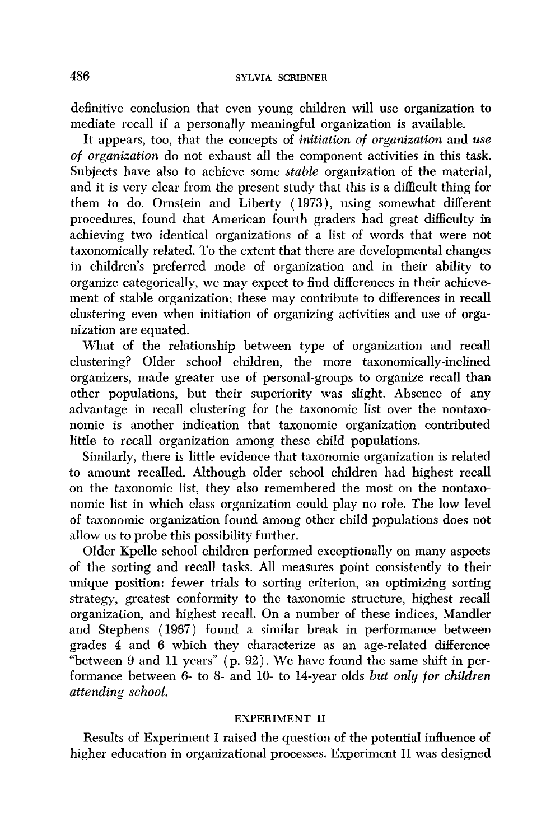definitive conclusion that even young children will use organization to mediate recall if a personally meaningful organization is available.

It appears, too, that the concepts of *initiation of organization* and *use of organization* do not exhaust all the component activities in this task. Subjects have also to achieve some *stable* organization of the material, and it is very clear from the present study that this is a difficult thing for them to do. Ornstein and Liberty ( 1973), using somewhat different procedures, found that American fourth graders had great difficulty in achieving two identical organizations of a list of words that were not taxonomically related. To the extent that there are developmental changes in children's preferred mode of organization and in their ability to organize categorically, we may expect to find differences in their achievement of stable organization; these may contribute to differences in recall clustering even when initiation of organizing activities and use of organization are equated.

What of the relationship between type of organization and recall clustering? Older school children, the more taxonomically-inclined organizers, made greater use of personal-groups to organize recall than other populations, but their superiority was slight. Absence of any advantage in recall clustering for the taxonomic list over the nontaxonomic is another indication that taxonomic organization contributed little *to* recall organization among these child populations.

Similarly, there is little evidence that taxonomic organization is related *to* amount recalled. Although older school children had highest recall on the taxonomic list, they also remembered the most on the nontaxonomic list in which class organization could play no role. The low level of taxonomic organization found among other child populations does not allow us to probe this possibility further.

Older Kpelle school children performed exceptionally on many aspects of the sorting and recall tasks. All measures point consistently *to* their unique position: fewer trials *to* sorting criterion, an optimizing sorting strategy, greatest conformity *to* the taxonomic structure, highest recall organization, and highest recall. On a number of these indices, Mandler and Stephens ( 1967) found a similar break in performance between grades 4 and 6 which they characterize as an age-related difference "between 9 and 11 years" (p. 92). We have found the same shift in performance between 6- to 8- and 10- to 14-year olds *but only for children attending school.* 

## EXPERIMENT II

Results of Experiment I raised the question of the potential influence of higher education in organizational processes. Experiment II was designed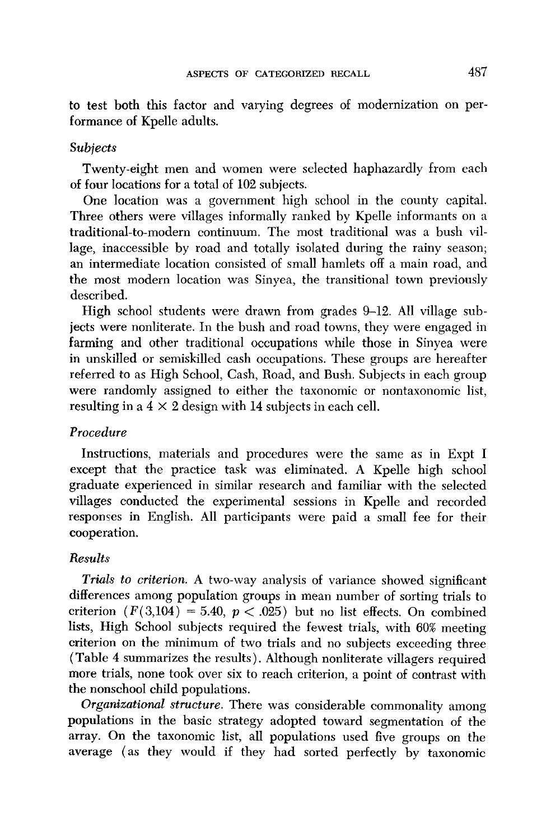to test both this factor and varying degrees of modernization on performance of Kpelle adults.

## *Subjects*

Twenty-eight men and women were selected haphazardly from each of four locations for a total of 102 subjects.

One location was a government high school in the county capital. Three others were villages informally ranked by Kpelle informants on a traditional-to-modern continuum. The most traditional was a bush village, inaccessible by road and totally isolated during the rainy season; an intermediate location consisted of small hamlets off a main road, and the most modern location was Sinyea, the transitional town previously described.

High school students were drawn from grades 9-12. All village subjects were nonliterate. In the bush and road towns, they were engaged in farming and other traditional occupations while those in Sinyea were in unskilled or semiskilled cash occupations. These groups are hereafter referred to as High School, Cash, Road, and Bush. Subjects in each group were randomly assigned to either the taxonomic or nontaxonomic list, resulting in a  $4 \times 2$  design with 14 subjects in each cell.

## *Procedure*

Instructions, materials and procedures were the same as in Expt I except that the practice task was eliminated. A Kpelle high school graduate experienced in similar research and familiar with the selected villages conducted the experimental sessions in Kpelle and recorded responses in English. All participants were paid a small fee for their cooperation.

## *Results*

*Trials to criterion.* A two-way analysis of variance showed significant differences among population groups in mean number of sorting trials to criterion  $(F(3,104) = 5.40, p < 0.025)$  but no list effects. On combined lists, High School subjects required the fewest trials, with 60% meeting criterion on the minimum of two trials and no subjects exceeding three ( Table 4 summarizes the results). Although nonliterate villagers required more trials, none took over six to reach criterion, a point of contrast with the nonschool child populations.

*Organizational structure.* There was considerable commonality among populations in the basic strategy adopted toward segmentation of the array. On the taxonomic list, all populations used five groups on the average ( as they would if they had sorted perfectly by taxonomic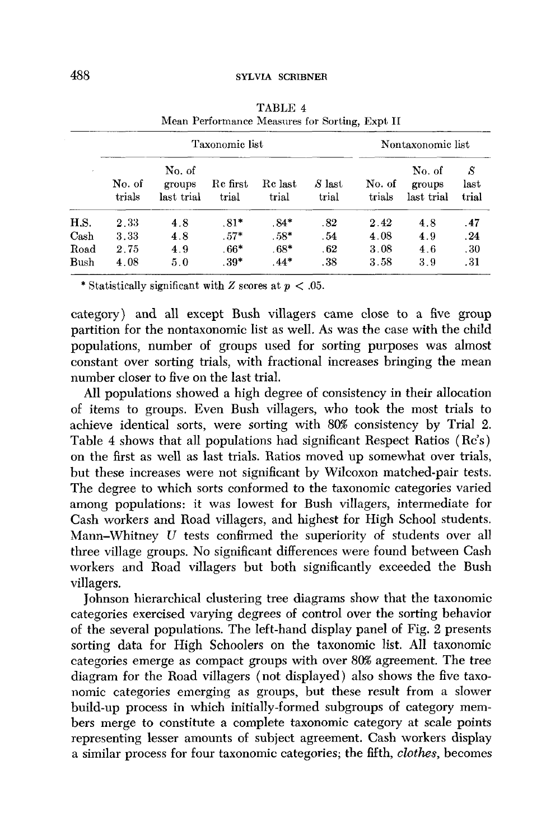|                       | Taxonomic list   |                                |                   |                  |                   | Nontaxonomic list |                                |                    |
|-----------------------|------------------|--------------------------------|-------------------|------------------|-------------------|-------------------|--------------------------------|--------------------|
|                       | No. of<br>trials | No. of<br>groups<br>last trial | Re first<br>trial | Rc last<br>trial | $S$ last<br>trial | No. of<br>trials  | No. of<br>groups<br>last trial | S<br>last<br>trial |
| H.S.                  | 2.33             | 4.8                            | $.81*$            | $.84*$           | .82               | 2.42              | 4.8                            | .47                |
| $\operatorname{Cash}$ | 3.33             | 4.8                            | $.57*$            | $.58*$           | .54               | 4.08              | 4.9                            | .24                |
| Road                  | 2.75             | 4.9                            | $.66*$            | $.68*$           | .62               | 3.08              | 4.6                            | .30                |
| Bush                  | 4.08             | 5.0                            | $.39*$            | $.44*$           | .38               | 3.58              | 3.9                            | -31                |

TABLE 4 Mean Performance Measures for Sorting, Expt II

\* Statistically significant with  $Z$  scores at  $p < .05$ .

category) and all except Bush villagers came close to a five group partition for the nontaxonomic list as well. As was the case with the child populations, number of groups used for sorting purposes was almost constant over sorting trials, with fractional increases bringing the mean number closer to five on the last trial.

All populations showed a high degree of consistency in their allocation of items to groups. Even Bush villagers, who took the most trials to achieve identical sorts, were sorting with 80% consistency by Trial 2. Table 4 shows that all populations had significant Respect Ratios (Re's) on the first as well as last trials. Ratios moved up somewhat over trials, but these increases were not significant by Wilcoxon matched-pair tests. The degree *to* which sorts conformed *to* the taxonomic categories varied among populations: it was lowest for Bush villagers, intermediate for Cash workers and Road villagers, and highest for High School students. Mann-Whitney *U* tests confirmed the superiority of students over all three village groups. No significant differences were found between Cash workers and Road villagers but both significantly exceeded the Bush villagers.

Johnson hierarchical clustering tree diagrams show that the taxonomic categories exercised varying degrees of control over the sorting behavior of the several populations. The left-hand display panel of Fig. 2 presents sorting data for High Schoolers on the taxonomic list. All taxonomic categories emerge as compact groups with over 80% agreement. The tree diagram for the Road villagers ( not displayed) also shows the five taxonomic categories emerging as groups, but these result from a slower build-up process in which initially-formed subgroups of category members merge to constitute a complete taxonomic category at scale points representing lesser amounts of subject agreement. Cash workers display a similar process for four taxonomic categories; the fifth, *clothes,* becomes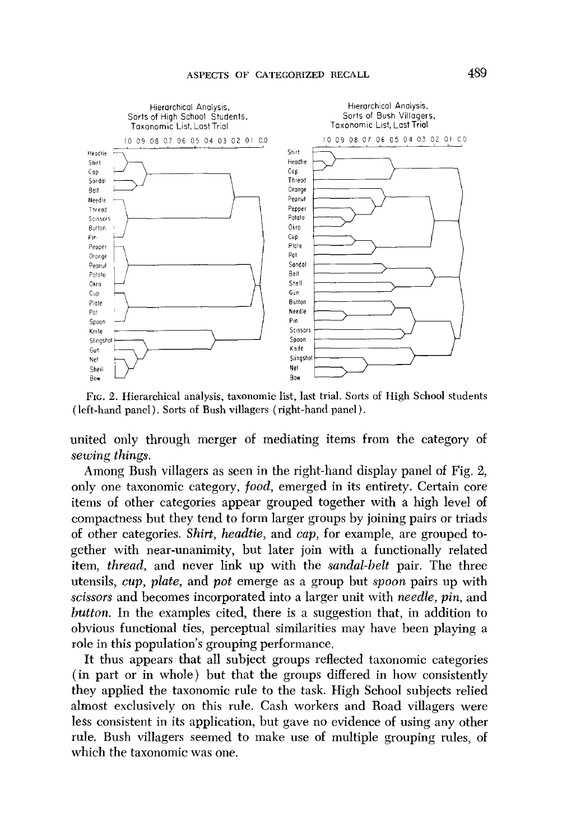

Frc. 2. Hierarchical analysis, taxonomic list, last trial. Sorts of High School students ( left-hand panel). Sorts of Bush villagers ( right-hand panel).

united only through merger of mediating items from the category of *sewing things.* 

Among Bush villagers as seen in the right-hand display panel of Fig. 2, only one taxonomic category, *food,* emerged in its entirety. Certain core items of other categories appear grouped together with a high level of compactness but they tend to form larger groups by joining pairs or triads of other categories. *Shirt, headtie,* and *cap,* for example, are grouped together with near-unanimity, but later join with a functionally related item, *thread,* and never link up with the *sandal-belt* pair. The three utensils, *cup, plate,* and *pot* emerge as a group but *spoon* pairs up with *scissors* and becomes incorporated into a larger unit with *needle, pin,* and *button.* In the examples cited, there is a suggestion that, in addition to obvious functional ties, perceptual similarities may have been playing a role in this population's grouping performance,

It thus appears that all subject groups reflected taxonomic categories ( in part or in whole) but that the groups differed in how consistently they applied the taxonomic rule to the task. High School subjects relied almost exclusively on this rule. Cash workers and Road villagers were less consistent in its application, but gave no evidence of using any other rule. Bush villagers seemed to make use of multiple grouping rules, of which the taxonomic was one.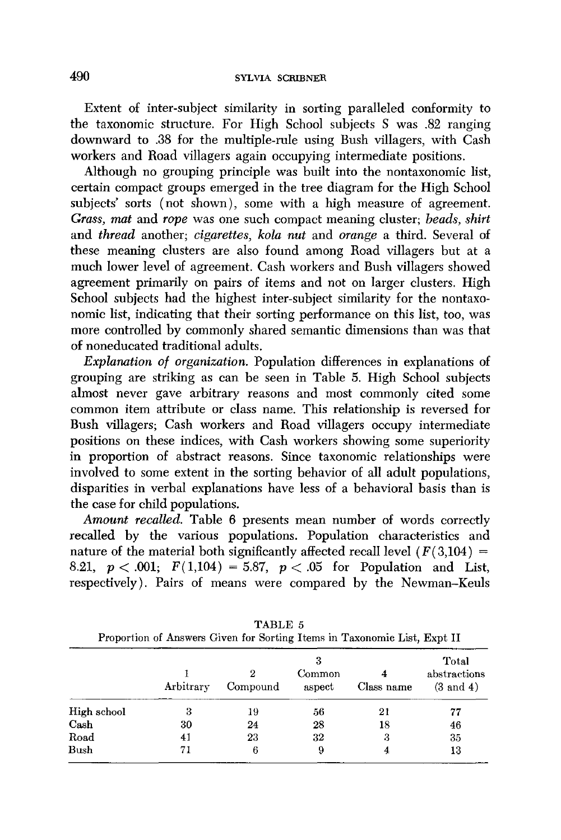Extent of inter-subject similarity in sorting paralleled conformity to the taxonomic structure. For High School subjects S was .82 ranging downward to .38 for the multiple-rule using Bush villagers, with Cash workers and Road villagers again occupying intermediate positions.

Although no grouping principle was built into the nontaxonomic list, certain compact groups emerged in the tree diagram for the High School subjects' sorts (not shown), some with a high measure of agreement. *Grass, mat* and *rope* was one such compact meaning cluster; *beads, shirt*  and *thread* another; *cigarettes, kola nut* and *orange* a third. Several of these meaning clusters are also found among Road villagers but at a much lower level of agreement. Cash workers and Bush villagers showed agreement primarily on pairs of items and not on larger clusters. High School subjects had the highest inter-subject similarity for the nontaxonomic list, indicating that their sorting performance on this list, too, was more controlled by commonly shared semantic dimensions than was that of noneducated traditional adults.

*Explanation of organization.* Population differences in explanations of grouping are striking as can be seen in Table 5. High School subjects almost never gave arbitrary reasons and most commonly cited some common item attribute or class name. This relationship is reversed for Bush villagers; Cash workers and Road villagers occupy intermediate positions on these indices, with Cash workers showing some superiority in proportion of abstract reasons. Since taxonomic relationships were involved to some extent in the sorting behavior of all adult populations, disparities in verbal explanations have less of a behavioral basis than is the case for child populations.

*Amount recalled.* Table 6 presents mean number of words correctly recalled by the various populations. Population characteristics and nature of the material both significantly affected recall level ( $F(3,104) =$ 8.21,  $p < .001$ ;  $F(1,104) = 5.87$ ,  $p < .05$  for Population and List, respectively). Pairs of means were compared by the Newman-Keuls

|             | Arbitrary | 2<br>Compound | 3<br>Common<br>aspect | Class name | Total<br>abstractions<br>$(3 \text{ and } 4)$ |
|-------------|-----------|---------------|-----------------------|------------|-----------------------------------------------|
|             |           |               |                       |            |                                               |
| High school | 3         | 19            | 56                    | 21         | 77                                            |
| Cash        | 30        | 24            | 28                    | 18         | 46                                            |
| Road        | 41        | 23            | 32                    | 3          | 35                                            |
| Bush        | 71        | 6             | 9                     |            | 13                                            |

TABLE 5 Proportion of Answers Given for Sorting Items in Taxonomic List, Expt II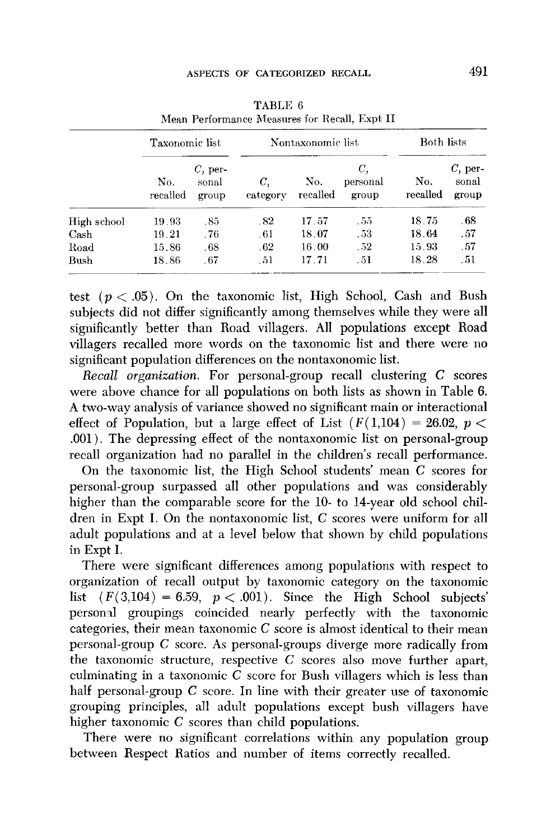|             | Taxonomic list  |                              | Nontaxonomic list |                 |                         | <b>Both lists</b> |                              |
|-------------|-----------------|------------------------------|-------------------|-----------------|-------------------------|-------------------|------------------------------|
|             | No.<br>recalled | $C$ , per-<br>sonal<br>group | C.<br>category    | No.<br>recalled | С.<br>personal<br>group | No.<br>recalled   | $C$ , per-<br>sonal<br>group |
| High school | 19.93           | .85                          | . 82              | 17.57           | . 55                    | 18.75             | .68                          |
| Cash        | 19.21           | .76                          | .61               | 18.07           | . 53                    | 18.64             | .57                          |
| Road        | 15.86           | .68                          | .62               | 16.00           | - 52                    | 15.93             | .57                          |
| Bush        | 18.86           | .67                          | . 51              | 17.71           | -51                     | 18.28             | .51                          |

TABLE 6 Mean Performance Measures for HecaH, Expt II

test  $(p < .05)$ . On the taxonomic list, High School, Cash and Bush subjects did not differ significantly among themselves while they were all significantly better than Road villagers. All populations except Road villagers recalled more words on the taxonomic list and there were no significant population differences on the nontaxonomic list.

*Recall organization.* For personal-group recall clustering C scores were above chance for all populations on both lists as shown in Table 6. A two-way analysis of variance showed no significant main or interactional effect of Population, but a large effect of List  $(F(1,104) = 26.02, p <$ .001). The depressing effect of the nontaxonomic list on personal-group recall organization had no parallel in the children's recall performance.

On the taxonomic list, the High School students' mean C scores for personal-group surpassed all other populations and was considerably higher than the comparable score for the 10- to 14-year old school children in Expt I. On the nontaxonomic list, C scores were uniform for all adult populations and at a level below that shown by child populations in Expt I.

There were significant differences among populations with respect to organization of recall output by taxonomic category on the taxonomic list  $(F(3,104) = 6.59, p < .001)$ . Since the High School subjects' personstl groupings coincided nearly perfectly with the taxonomic categories, their mean taxonomic  $C$  score is almost identical to their mean personal-group C score. As personal-groups diverge more radically from the taxonomic structure, respective  $C$  scores also move further apart, culminating in a taxonomic C score for Bush villagers which is less than half personal-group  $C$  score. In line with their greater use of taxonomic grouping principles, all adult populations except bush villagers have higher taxonomic C scores than child populations.

There were no significant correlations within any population group between Respect Ratios and number of items correctly recalled.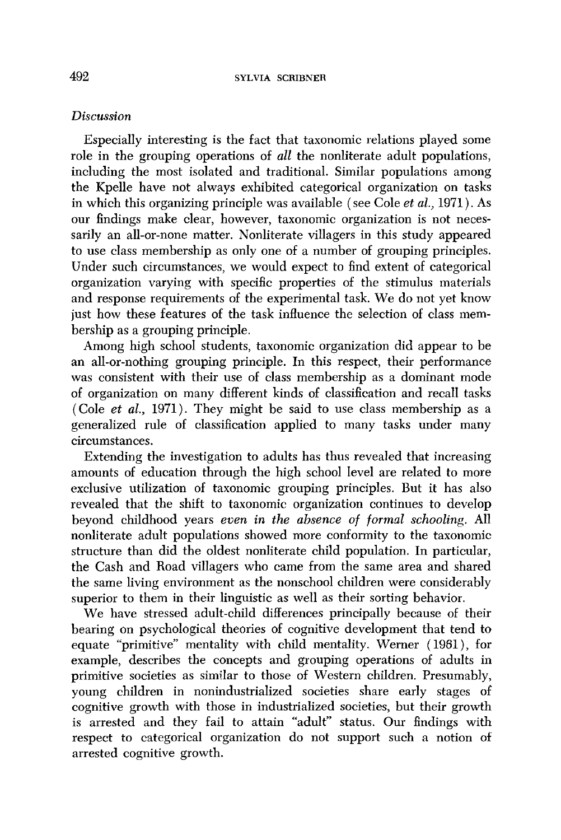#### *Discussion*

Especially interesting is the fact that taxonomic relations played some role in the grouping operations of *all* the nonliterate adult populations, including the most isolated and traditional. Similar populations among the Kpelle have not always exhibited categorical organization on tasks in which this organizing principle was available ( see Cole *et al.,* 1971). As our findings make clear, however, taxonomic organization is not necessarily an all-or-none matter. Nonliterate villagers in this study appeared to use class membership as only one of a number of grouping principles. Under such circumstances, we would expect to find extent of categorical organization varying with specific properties of the stimulus materials and response requirements of the experimental task. We do not yet know just how these features of the task influence the selection of class membership as a grouping principle.

Among high school students, taxonomic organization did appear to be an all-or-nothing grouping principle. In this respect, their performance was consistent with their use of class membership as a dominant mode of organization on many different kinds of classification and recall tasks ( Cole *et al.,* 1971). They might be said to use class membership as a generalized rule of classification applied to many tasks under many circumstances.

Extending the investigation to adults has thus revealed that increasing amounts of education through the high school level are related to more exclusive utilization of taxonomic grouping principles. But it has also revealed that the shift to taxonomic organization continues to develop beyond childhood years *even in the absence of formal schooling.* All nonliterate adult populations showed more conformity to the taxonomic structure than did the oldest nonliterate child population. In particular, the Cash and Road villagers who came from the same area and shared the same living environment as the nonschool children were considerably superior to them in their linguistic as well as their sorting behavior.

We have stressed adult-child differences principally because of their bearing on psychological theories of cognitive development that tend to equate "primitive" mentality with child mentality. Werner ( 1961), for example, describes the concepts and grouping operations of adults in primitive societies as similar to those of Western children. Presumably, young children in nonindustrialized societies share early stages of cognitive growth with those in industrialized societies, but their growth is arrested and they fail to attain "adult" status. Our findings with respect to categorical organization do not support such a notion of arrested cognitive growth.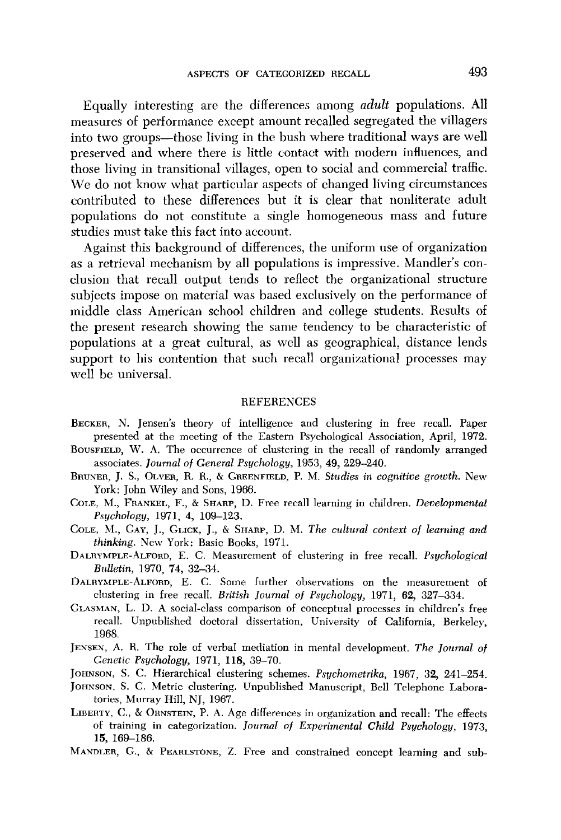Equally interesting are the differences among *adult* populations. All measures of performance except amount recalled segregated the villagers into two groups-those living in the bush where traditional ways are well preserved and where there is little contact with modern influences, and those living in transitional villages, open to social and commercial traffic. We do not know what particular aspects of changed living circumstances contributed to these differences but it is clear that nonliterate adult populations do not constitute a single homogeneous mass and future studies must take this fact into account.

Against this background of differences, the uniform use of organization as a retrieval mechanism by all populations is impressive. Mandler's conclusion that recall output tends to reflect the organizational structure subjects impose on material was based exclusively on the performance of middle class American school children and college students. Results of the present research showing the same tendency to be characteristic of populations at a great cultural, as well as geographical, distance lends support to his contention that such recall organizational processes may well be universal.

#### **REFERENCES**

- BECKER, N. Jensen's theory of intelligence and clustering in free recall. Paper presented at the meeting of the Eastern Psychological Association, April, 1972.
- BousFIELD, W. A. The occurrence of clustering in the recall of randomly arranged associates. *Journal of General Psychology,* 1953, **49,** 229-240.
- BRUNER, **J.** S., OLVER, R. R., & GREENFIELD, P. M. *Studies in cognitive growth.* New York: John Wiley and Sons, 1966.
- COLE, **M.,** FRANKEL, F., & SHARP, **D.** Free recall learning in children. *Developmental Psychology,* 1971, 4, 109-123.
- CoLE, **M.,** GAY, J., GucK, J., & SHARP, D. M. *The cultural context of learning and thinking.* New York: Basic Books, 1971.
- DALRYMPLE-ALFORD, E. C. Measurement of clustering in free recall. *Psychological Bulletin,* 1970, **74,** 32-34.
- DALRYMPLE-ALFORD, E. C. Some further observations on the measurement of clustering in free recall. *British Journal of Psychology,* 1971, **62,** 327-334.
- CLASMAN, L. D. A social-class comparison of conceptual processes in children's free recall. Unpublished doctoral dissertation, University of California, Berkeley, 1968.
- JENSEN, A. R. The role of verbal mediation in mental development. *The Journal of Genetic Psychology,* 1971, **118,** 39-70.
- JOHNSON, S. C. Hierarchical clustering schemes. *Psychometrika,* 1967, 32, 241-254.
- JOHNSON, S. C. Metric clustering. Unpublished Manuscript, Bell Telephone Laboratories, Murray Hill, NJ, 1967.
- LIBERTY, C., & ORNSTEIN, P. A. Age differences in organization and recall: The effects of training in categorization. *Journal of Experimental Child Psychology,* 1973, **15,** 169~186.
- MANDLER, G., & PEARLSTONE, Z. Free and constrained concept learning and sub-